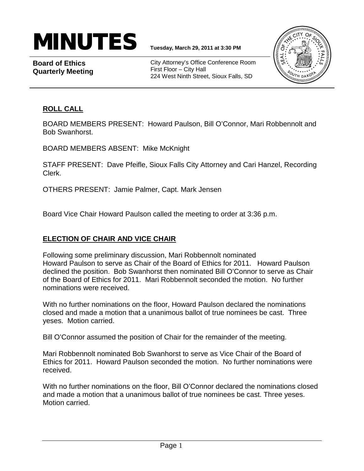

**Board of Ethics Quarterly Meeting**

City Attorney's Office Conference Room First Floor – City Hall 224 West Ninth Street, Sioux Falls, SD



# **ROLL CALL**

BOARD MEMBERS PRESENT: Howard Paulson, Bill O'Connor, Mari Robbennolt and Bob Swanhorst.

BOARD MEMBERS ABSENT: Mike McKnight

STAFF PRESENT: Dave Pfeifle, Sioux Falls City Attorney and Cari Hanzel, Recording Clerk.

OTHERS PRESENT: Jamie Palmer, Capt. Mark Jensen

Board Vice Chair Howard Paulson called the meeting to order at 3:36 p.m.

# **ELECTION OF CHAIR AND VICE CHAIR**

Following some preliminary discussion, Mari Robbennolt nominated Howard Paulson to serve as Chair of the Board of Ethics for 2011. Howard Paulson declined the position. Bob Swanhorst then nominated Bill O'Connor to serve as Chair of the Board of Ethics for 2011. Mari Robbennolt seconded the motion. No further nominations were received.

With no further nominations on the floor, Howard Paulson declared the nominations closed and made a motion that a unanimous ballot of true nominees be cast. Three yeses. Motion carried.

Bill O'Connor assumed the position of Chair for the remainder of the meeting.

Mari Robbennolt nominated Bob Swanhorst to serve as Vice Chair of the Board of Ethics for 2011. Howard Paulson seconded the motion. No further nominations were received.

With no further nominations on the floor, Bill O'Connor declared the nominations closed and made a motion that a unanimous ballot of true nominees be cast. Three yeses. Motion carried.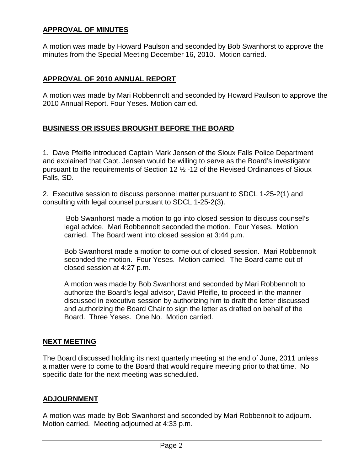## **APPROVAL OF MINUTES**

A motion was made by Howard Paulson and seconded by Bob Swanhorst to approve the minutes from the Special Meeting December 16, 2010. Motion carried.

#### **APPROVAL OF 2010 ANNUAL REPORT**

A motion was made by Mari Robbennolt and seconded by Howard Paulson to approve the 2010 Annual Report. Four Yeses. Motion carried.

## **BUSINESS OR ISSUES BROUGHT BEFORE THE BOARD**

1. Dave Pfeifle introduced Captain Mark Jensen of the Sioux Falls Police Department and explained that Capt. Jensen would be willing to serve as the Board's investigator pursuant to the requirements of Section 12 ½ -12 of the Revised Ordinances of Sioux Falls, SD.

2. Executive session to discuss personnel matter pursuant to SDCL 1-25-2(1) and consulting with legal counsel pursuant to SDCL 1-25-2(3).

Bob Swanhorst made a motion to go into closed session to discuss counsel's legal advice. Mari Robbennolt seconded the motion. Four Yeses. Motion carried. The Board went into closed session at 3:44 p.m.

Bob Swanhorst made a motion to come out of closed session. Mari Robbennolt seconded the motion. Four Yeses. Motion carried. The Board came out of closed session at 4:27 p.m.

A motion was made by Bob Swanhorst and seconded by Mari Robbennolt to authorize the Board's legal advisor, David Pfeifle, to proceed in the manner discussed in executive session by authorizing him to draft the letter discussed and authorizing the Board Chair to sign the letter as drafted on behalf of the Board. Three Yeses. One No. Motion carried.

#### **NEXT MEETING**

The Board discussed holding its next quarterly meeting at the end of June, 2011 unless a matter were to come to the Board that would require meeting prior to that time. No specific date for the next meeting was scheduled.

#### **ADJOURNMENT**

A motion was made by Bob Swanhorst and seconded by Mari Robbennolt to adjourn. Motion carried. Meeting adjourned at 4:33 p.m.